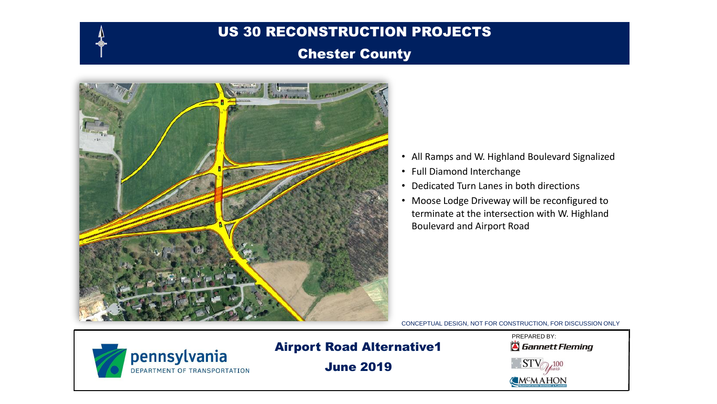#### Chester County



- All Ramps and W. Highland Boulevard Signalized
- Full Diamond Interchange
- Dedicated Turn Lanes in both directions
- Moose Lodge Driveway will be reconfigured to terminate at the intersection with W. Highland Boulevard and Airport Road

CONCEPTUAL DESIGN, NOT FOR CONSTRUCTION, FOR DISCUSSION ONLY



Airport Road Alternative1

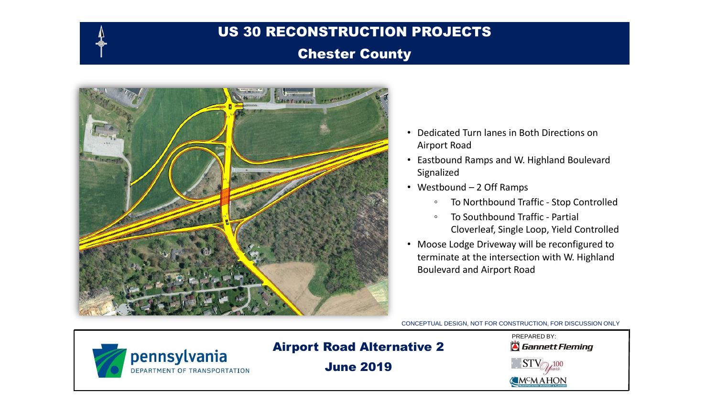#### Chester County



- Dedicated Turn lanes in Both Directions on Airport Road
- Eastbound Ramps and W. Highland Boulevard Signalized
- Westbound 2 Off Ramps
	- To Northbound Traffic Stop Controlled
	- To Southbound Traffic Partial Cloverleaf, Single Loop, Yield Controlled
- Moose Lodge Driveway will be reconfigured to terminate at the intersection with W. Highland Boulevard and Airport Road

CONCEPTUAL DESIGN, NOT FOR CONSTRUCTION, FOR DISCUSSION ONLY



# Airport Road Alternative 2

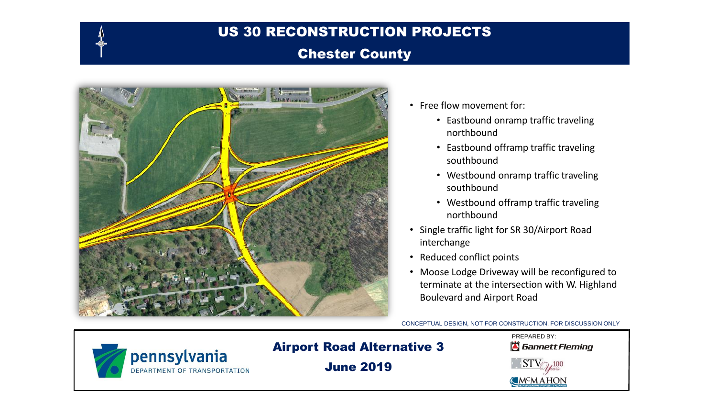#### Chester County



- Free flow movement for:
	- Eastbound onramp traffic traveling northbound
	- Eastbound offramp traffic traveling southbound
	- Westbound onramp traffic traveling southbound
	- Westbound offramp traffic traveling northbound
- Single traffic light for SR 30/Airport Road interchange
- Reduced conflict points
- Moose Lodge Driveway will be reconfigured to terminate at the intersection with W. Highland Boulevard and Airport Road

CONCEPTUAL DESIGN, NOT FOR CONSTRUCTION, FOR DISCUSSION ONLY



# Airport Road Alternative 3